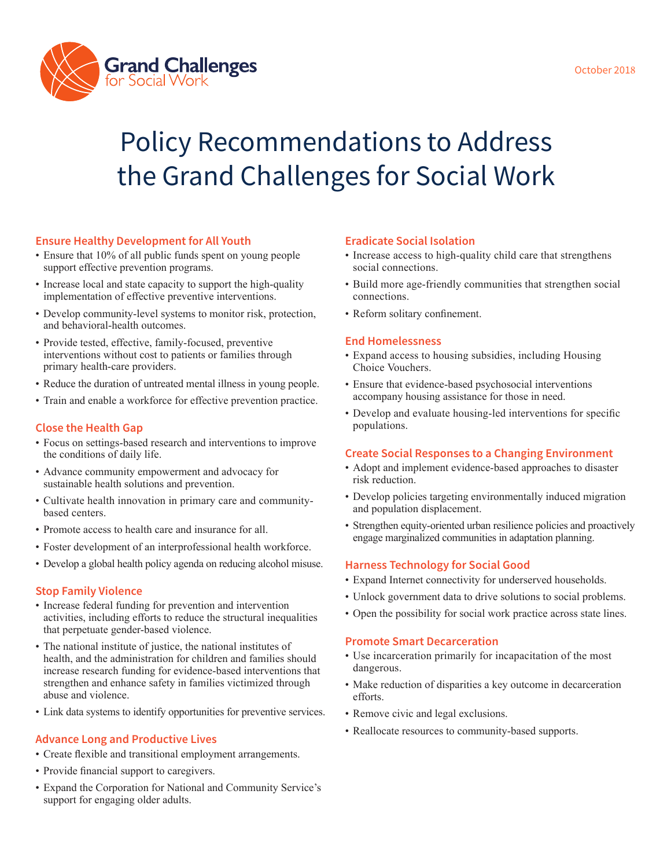

# Policy Recommendations to Address the Grand Challenges for Social Work

## **Ensure Healthy Development for All Youth**

- Ensure that 10% of all public funds spent on young people support effective prevention programs.
- Increase local and state capacity to support the high-quality implementation of effective preventive interventions.
- Develop community-level systems to monitor risk, protection, and behavioral-health outcomes.
- Provide tested, effective, family-focused, preventive interventions without cost to patients or families through primary health-care providers.
- Reduce the duration of untreated mental illness in young people.
- Train and enable a workforce for effective prevention practice.

## **Close the Health Gap**

- Focus on settings-based research and interventions to improve the conditions of daily life.
- Advance community empowerment and advocacy for sustainable health solutions and prevention.
- Cultivate health innovation in primary care and communitybased centers.
- Promote access to health care and insurance for all.
- Foster development of an interprofessional health workforce.
- Develop a global health policy agenda on reducing alcohol misuse.

## **Stop Family Violence**

- Increase federal funding for prevention and intervention activities, including efforts to reduce the structural inequalities that perpetuate gender-based violence.
- The national institute of justice, the national institutes of health, and the administration for children and families should increase research funding for evidence-based interventions that strengthen and enhance safety in families victimized through abuse and violence.
- Link data systems to identify opportunities for preventive services.

#### **Advance Long and Productive Lives**

- Create flexible and transitional employment arrangements.
- Provide financial support to caregivers.
- Expand the Corporation for National and Community Service's support for engaging older adults.

#### **Eradicate Social Isolation**

- Increase access to high-quality child care that strengthens social connections.
- Build more age-friendly communities that strengthen social connections.
- Reform solitary confinement.

#### **End Homelessness**

- Expand access to housing subsidies, including Housing Choice Vouchers.
- Ensure that evidence-based psychosocial interventions accompany housing assistance for those in need.
- Develop and evaluate housing-led interventions for specific populations.

#### **Create Social Responses to a Changing Environment**

- Adopt and implement evidence-based approaches to disaster risk reduction.
- Develop policies targeting environmentally induced migration and population displacement.
- Strengthen equity-oriented urban resilience policies and proactively engage marginalized communities in adaptation planning.

#### **Harness Technology for Social Good**

- Expand Internet connectivity for underserved households.
- Unlock government data to drive solutions to social problems.
- Open the possibility for social work practice across state lines.

#### **Promote Smart Decarceration**

- Use incarceration primarily for incapacitation of the most dangerous.
- Make reduction of disparities a key outcome in decarceration efforts.
- Remove civic and legal exclusions.
- Reallocate resources to community-based supports.